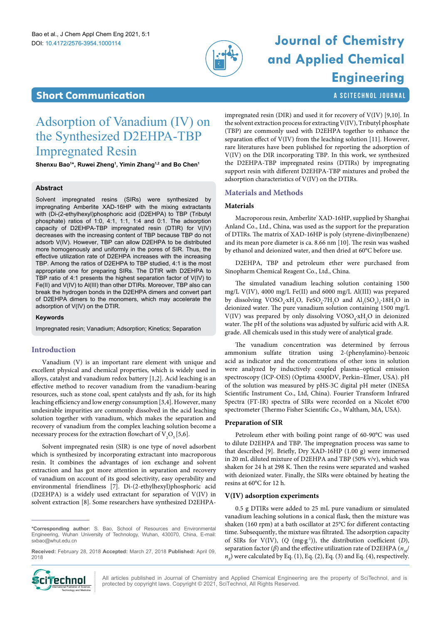

# DOI: 10.4172/2576-3954.1000114 **Journal of Chemistry and Applied Chemical Engineering**

# **Short Communication a Scittle Communication a Scittle Communication a Scittle Communication**

# <span id="page-0-0"></span>Adsorption of Vanadium (IV) on the Synthesized D2EHPA-TBP Impregnated Resin

**Shenxu Bao1 \*, Ruwei Zheng1 , Yimin Zhang1,2 and Bo Chen1**

# **Abstract**

Solvent impregnated resins (SIRs) were synthesized by impregnating Amberlite XAD-16HP with the mixing extractants with (Di-(2-ethylhexyl)phosphoric acid (D2EHPA) to TBP (Tributyl phosphate) ratios of 1:0, 4:1, 1:1, 1:4 and 0:1. The adsorption capacity of D2EHPA-TBP impregnated resin (DTIR) for V(IV) decreases with the increasing content of TBP because TBP do not adsorb V(IV). However, TBP can allow D2EHPA to be distributed more homogenously and uniformly in the pores of SIR. Thus, the effective utilization rate of D2EHPA increases with the increasing TBP. Among the ratios of D2EHPA to TBP studied, 4:1 is the most appropriate one for preparing SIRs. The DTIR with D2EHPA to TBP ratio of 4:1 presents the highest separation factor of V(IV) to Fe(II) and V(IV) to Al(III) than other DTIRs. Moreover, TBP also can break the hydrogen bonds in the D2EHPA dimers and convert part of D2EHPA dimers to the monomers, which may accelerate the adsorption of V(IV) on the DTIR.

#### **Keywords**

Impregnated resin; Vanadium; Adsorption; Kinetics; Separation

# **Introduction**

Vanadium (V) is an important rare element with unique and excellent physical and chemical properties, which is widely used in alloys, catalyst and vanadium redox battery [1,2]. Acid leaching is an effective method to recover vanadium from the vanadium-bearing resources, such as stone coal, spent catalysts and fly ash, for its high leaching efficiency and low energy consumption [3,4]. However, many undesirable impurities are commonly dissolved in the acid leaching solution together with vanadium, which makes the separation and recovery of vanadium from the complex leaching solution become a necessary process for the extraction flowchart of  $V_2O_5[5,6]$ .

Solvent impregnated resin (SIR) is one type of novel adsorbent which is synthesized by incorporating extractant into macroporous resin. It combines the advantages of ion exchange and solvent extraction and has got more attention in separation and recovery of vanadium on account of its good selectivity, easy operability and environmental friendliness [7]. Di-(2-ethylhexyl)phosphoric acid (D2EHPA) is a widely used extractant for separation of V(IV) in solvent extraction [8]. Some researchers have synthesized D2EHPA-

**Received:** February 28, 2018 **Accepted:** March 27, 2018 **Published:** April 09, 2018



impregnated resin (DIR) and used it for recovery of V(IV) [9,10]. In the solvent extraction process for extracting V(IV), Tributyl phosphate (TBP) are commonly used with D2EHPA together to enhance the separation effect of V(IV) from the leaching solution [11]. However, rare literatures have been published for reporting the adsorption of V(IV) on the DIR incorporating TBP. In this work, we synthesized the D2EHPA-TBP impregnated resins (DTIRs) by impregnating support resin with different D2EHPA-TBP mixtures and probed the adsorption characteristics of V(IV) on the DTIRs.

# **Materials and Methods**

# **Materials**

Macroporous resin, Amberlite' XAD-16HP, supplied by Shanghai Anland Co., Ltd., China, was used as the support for the preparation of DTIRs. The matrix of XAD-16HP is poly (styrene-divinylbenzene) and its mean pore diameter is ca. 8.66 nm [10]. The resin was washed by ethanol and deionized water, and then dried at 60°C before use.

D2EHPA, TBP and petroleum ether were purchased from Sinopharm Chemical Reagent Co., Ltd., China.

The simulated vanadium leaching solution containing 1500 mg/L V(IV), 4000 mg/L Fe(II) and 6000 mg/L Al(III) was prepared by dissolving  $VOSO_4$ ·xH<sub>2</sub>O, FeSO<sub>4</sub>·7H<sub>2</sub>O and  $Al_2(SO_4)_3$ ·18H<sub>2</sub>O in deionized water. The pure vanadium solution containing 1500 mg/L  $V(IV)$  was prepared by only dissolving  $VOSO_4$ · $xH_2O$  in deionized water. The pH of the solutions was adjusted by sulfuric acid with A.R. grade. All chemicals used in this study were of analytical grade.

The vanadium concentration was determined by ferrous ammonium sulfate titration using 2-(phenylamino)-benzoic acid as indicator and the concentrations of other ions in solution were analyzed by inductively coupled plasma–optical emission spectroscopy (ICP-OES) (Optima 4300DV, Perkin–Elmer, USA). pH of the solution was measured by pHS-3C digital pH meter (INESA Scientific Instrument Co., Ltd, China). Fourier Transform Infrared Spectra (FT-IR) spectra of SIRs were recorded on a Nicolet 6700 spectrometer (Thermo Fisher Scientific Co., Waltham, MA, USA).

## **Preparation of SIR**

Petroleum ether with boiling point range of 60-90°C was used to dilute D2EHPA and TBP. The impregnation process was same to that described [9]. Briefly, Dry XAD-16HP (1.00 g) were immersed in 20 mL diluted mixture of D2EHPA and TBP (50% v/v), which was shaken for 24 h at 298 K. Then the resins were separated and washed with deionized water. Finally, the SIRs were obtained by heating the resins at 60°C for 12 h.

## **V(IV) adsorption experiments**

0.5 g DTIRs were added to 25 mL pure vanadium or simulated vanadium leaching solutions in a conical flask, then the mixture was shaken (160 rpm) at a bath oscillator at 25°C for different contacting time. Subsequently, the mixture was filtrated. The adsorption capacity of SIRs for V(IV), (*Q* (mg·g-1)), the distribution coefficient (*D*), separation factor ( $\beta$ ) and the effective utilization rate of D2EHPA ( $n_{M}$ )  $n_{E}$ ) were calculated by Eq. (1), Eq. (2), Eq. (3) and Eq. (4), respectively.

All articles published in Journal of Chemistry and Applied Chemical Engineering are the property of SciTechnol, and is protected by copyright laws. Copyright © 2021, SciTechnol, All Rights Reserved.

**<sup>\*</sup>Corresponding author:** S. Bao, School of Resources and Environmental Engineering, Wuhan University of Technology, Wuhan, 430070, China, E-mail: sxbao@whut.edu.cn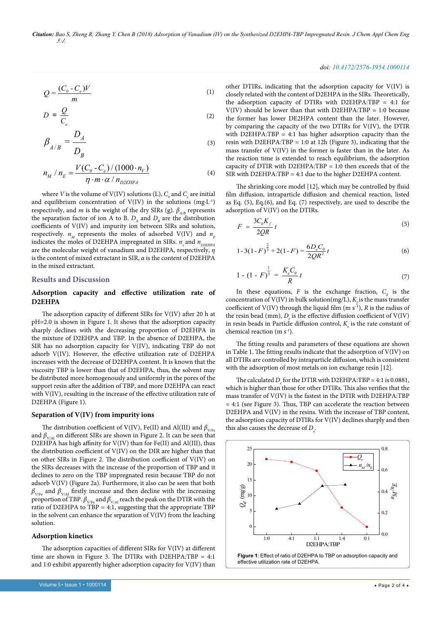*Citation: Bao S, Zheng R, Zhang Y, Chen B (2018) Adsorption of Vanadium (IV) on the Synthesized D2EHPA-TBP Impregnated Resin. J Chem Appl Chem Eng 5:1.*

$$
Q = \frac{(C_0 - C_e)V}{m} \tag{1}
$$

$$
D = \frac{Q}{C_e} \tag{2}
$$

$$
\beta_{A/B} = \frac{D_A}{D_B} \tag{3}
$$

$$
n_M / n_E = \frac{V(C_0 - C_e) / (1000 \cdot n_V)}{\eta \cdot m \cdot \alpha / n_{D2EHPA}}
$$
(4)

where *V* is the volume of V(IV) solutions (L),  $C_o$  and  $C_e$  are initial and equilibrium concentration of  $V(IV)$  in the solutions  $(mg·L^{-1})$ respectively, and *m* is the weight of the dry SIRs (g).  $\beta_{A/B}$  represents the separation factor of ion A to B.  $D_{\mu}$  and  $D_{\mu}$  are the distribution coefficients of V(IV) and impurity ion between SIRs and solution, respectively.  $n_{\mu}$  represents the moles of adsorbed V(IV) and  $n_{\mu}$ indicates the moles of D2EHPA impregnated in SIRs.  $n_v$  and  $n_{D2EHPA}$ are the molecular weight of vanadium and D2EHPA, respectively, *η* is the content of mixed extractant in SIR, *α* is the content of D2EHPA in the mixed extractant.

#### **Results and Discussion**

### **Adsorption capacity and effective utilization rate of D2EHPA**

The adsorption capacity of different SIRs for V(IV) after 20 h at pH=2.0 is shown in Figure 1. It shows that the adsorption capacity sharply declines with the decreasing proportion of D2EHPA in the mixture of D2EHPA and TBP. In the absence of D2EHPA, the SIR has no adsorption capacity for V(IV), indicating TBP do not adsorb V(IV). However, the effective utilization rate of D2EHPA increases with the decrease of D2EHPA content. It is known that the viscosity TBP is lower than that of D2EHPA, thus, the solvent may be distributed more homogenously and uniformly in the pores of the support resin after the addition of TBP, and more D2EHPA can react with V(IV), resulting in the increase of the effective utilization rate of D2EHPA (Figure 1).

#### **Separation of V(IV) from impurity ions**

The distribution coefficient of V(IV), Fe(II) and Al(III) and  $\beta_{V/Fe}$ and  $\beta_{\rm V/A}$  on different SIRs are shown in Figure 2. It can be seen that D2EHPA has high affinity for V(IV) than for Fe(II) and Al(III), thus the distribution coefficient of V(IV) on the DIR are higher than that on other SIRs in Figure 2. The distribution coefficient of V(IV) on the SIRs decreases with the increase of the proportion of TBP and it declines to zero on the TBP impregnated resin because TBP do not adsorb V(IV) (Figure 2a). Furthermore, it also can be seen that both  $\beta_{V/E}$  and  $\beta_{V/A}$  firstly increase and then decline with the increasing proportion of TBP.  $\beta_{V/E}$  and  $\beta_{V/A}$  reach the peak on the DTIR with the ratio of D2EHPA to  $\overline{TBP} = 4.1$ , suggesting that the appropriate TBP in the solvent can enhance the separation of V(IV) from the leaching solution.

#### **Adsorption kinetics**

The adsorption capacities of different SIRs for V(IV) at different time are shown in Figure 3. The DTIRs with D2EHPA:TBP = 4:1 and 1:0 exhibit apparently higher adsorption capacity for V(IV) than

#### *doi: 10.4172/2576-3954.1000114*

other DTIRs, indicating that the adsorption capacity for V(IV) is closely related with the content of D2EHPA in the SIRs. Theoretically, the adsorption capacity of DTIRs with D2EHPA:TBP = 4:1 for  $V(IV)$  should be lower than that with D2EHPA:TBP = 1:0 because the former has lower DE2HPA content than the later. However, by comparing the capacity of the two DTIRs for V(IV), the DTIR with D2EHPA:TBP = 4:1 has higher adsorption capacity than the resin with D2EHPA: $TBP = 1:0$  at 12h (Figure 3), indicating that the mass transfer of V(IV) in the former is faster than in the later. As the reaction time is extended to reach equilibrium, the adsorption capacity of DTIR with D2EHPA:TBP = 1:0 then exceeds that of the SIR with D2EHPA:TBP = 4:1 due to the higher D2EHPA content.

The shrinking core model [12], which may be controlled by fluid film diffusion, intraparticle diffusion and chemical reaction, listed as Eq. (5), Eq.(6), and Eq. (7) respectively, are used to describe the adsorption of V(IV) on the DTIRs.

$$
F = \frac{3C_0 K_f}{2QR} t \tag{5}
$$

$$
1-3(1-F)^{\frac{2}{3}}+2(1-F)=\frac{6D_eC_o}{2QR^2}t\tag{6}
$$

$$
1 - (1 - F)^{\frac{1}{3}} = \frac{K_e C_0}{R} t \tag{7}
$$

In these equations,  $F$  is the exchange fraction,  $C_0$  is the concentration of V(IV) in bulk solution(mg/L),  $K_{\!{}_f}$  is the mass transfer coefficient of  $V(IV)$  through the liquid film (m s<sup>-1</sup>), *R* is the radius of the resin bead (mm),  $D_e$  is the effective diffusion coefficient of  $V({\rm IV})$ in resin beads in Particle diffusion control,  $K_{\varepsilon}$  is the rate constant of chemical reaction  $(m s<sup>-1</sup>)$ .

The fitting results and parameters of these equations are shown in Table 1. The fitting results indicate that the adsorption of V(IV) on all DTIRs are controlled by intraparticle diffusion, which is consistent with the adsorption of most metals on ion exchange resin [12].

The calculated  $D_e$  for the DTIR with D2EHPA:TBP = 4:1 is 0.0881, which is higher than those for other DTIRs. This also verifies that the mass transfer of V(IV) is the fastest in the DTIR with D2EHPA:TBP = 4:1 (see Figure 3). Thus, TBP can accelerate the reaction between D2EHPA and V(IV) in the resins. With the increase of TBP content, the adsorption capacity of DTIRs for V(IV) declines sharply and then this also causes the decrease of  $D_e$ .

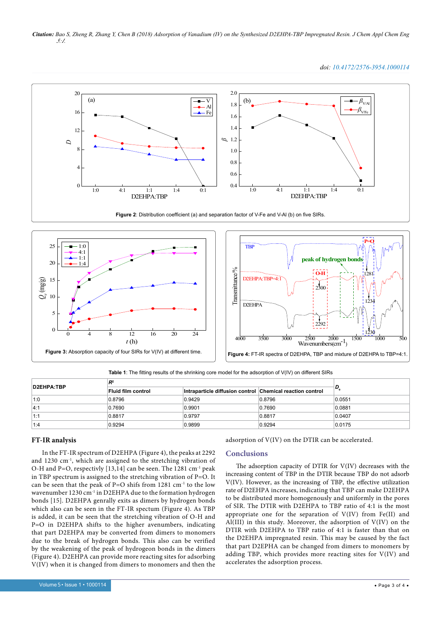*Citation: Bao S, Zheng R, Zhang Y, Chen B (2018) Adsorption of Vanadium (IV) on the Synthesized D2EHPA-TBP Impregnated Resin. J Chem Appl Chem Eng 5:1.*

*doi: 10.4172/2576-3954.1000114*









**Table 1**: The fitting results of the shrinking core model for the adsorption of V(IV) on different SIRs

| D2EHPA:TBP | D <sup>2</sup>     |                                                           |        |        |
|------------|--------------------|-----------------------------------------------------------|--------|--------|
|            | Fluid film control | Intraparticle diffusion control Chemical reaction control |        |        |
| 1:0        | 0.8796             | 0.9429                                                    | 0.8796 | 0.0551 |
| 4:1        | 0.7690             | 0.9901                                                    | 0.7690 | 0.0881 |
| 1:1        | 0.8817             | 0.9797                                                    | 0.8817 | 0.0407 |
| 1:4        | 0.9294             | 0.9899                                                    | 0.9294 | 0.0175 |

# **FT-IR analysis**

In the FT-IR spectrum of D2EHPA (Figure 4), the peaks at 2292 and 1230 cm-1, which are assigned to the stretching vibration of O-H and P=O, respectivly [13,14] can be seen. The 1281 cm<sup>-1</sup> peak in TBP spectrum is assigned to the stretching vibration of P=O. It can be seen that the peak of P=O shifs from 1281 cm-1 to the low wavenumber 1230 cm<sup>-1</sup> in D2EHPA due to the formation hydrogen bonds [15]. D2EHPA genrally exits as dimers by hydrogen bonds which also can be seen in the FT-IR spectum (Figure 4). As TBP is added, it can be seen that the stretching vibration of O-H and P=O in D2EHPA shifts to the higher avenumbers, indicating that part D2EHPA may be converted from dimers to monomers due to the break of hydrogen bonds. This also can be verified by the weakening of the peak of hydrogeon bonds in the dimers (Figure 4). D2EHPA can provide more reacting sites for adsorbing V(IV) when it is changed from dimers to monomers and then the adsorption of V(IV) on the DTIR can be accelerated.

# **Conclusions**

The adsorption capacity of DTIR for V(IV) decreases with the increasing content of TBP in the DTIR because TBP do not adsorb V(IV). However, as the increasing of TBP, the effective utilization rate of D2EHPA increases, indicating that TBP can make D2EHPA to be distributed more homogenously and uniformly in the pores of SIR. The DTIR with D2EHPA to TBP ratio of 4:1 is the most appropriate one for the separation of V(IV) from Fe(II) and Al(III) in this study. Moreover, the adsorption of V(IV) on the DTIR with D2EHPA to TBP ratio of 4:1 is faster than that on the D2EHPA impregnated resin. This may be caused by the fact that part D2EPHA can be changed from dimers to monomers by adding TBP, which provides more reacting sites for V(IV) and accelerates the adsorption process.